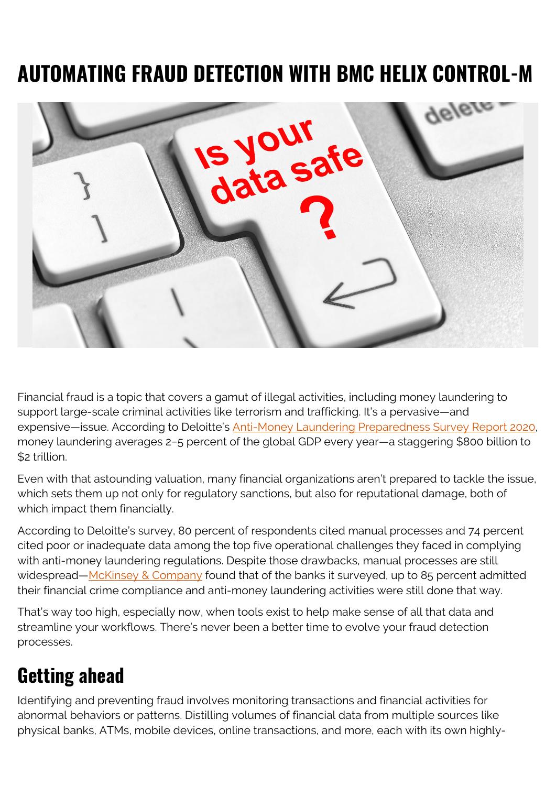## **AUTOMATING FRAUD DETECTION WITH BMC HELIX CONTROL-M**



Financial fraud is a topic that covers a gamut of illegal activities, including money laundering to support large-scale criminal activities like terrorism and trafficking. It's a pervasive—and expensive-issue. According to Deloitte's **Anti-Money Laundering Preparedness Survey Report 2020**, money laundering averages 2−5 percent of the global GDP every year—a staggering \$800 billion to \$2 trillion.

Even with that astounding valuation, many financial organizations aren't prepared to tackle the issue, which sets them up not only for regulatory sanctions, but also for reputational damage, both of which impact them financially.

According to Deloitte's survey, 80 percent of respondents cited manual processes and 74 percent cited poor or inadequate data among the top five operational challenges they faced in complying with anti-money laundering regulations. Despite those drawbacks, manual processes are still widespread—[McKinsey & Company](https://www.mckinsey.com/business-functions/risk/our-insights/the-investigator-centered-approach-to-financial-crime-doing-what-matters) found that of the banks it surveyed, up to 85 percent admitted their financial crime compliance and anti-money laundering activities were still done that way.

That's way too high, especially now, when tools exist to help make sense of all that data and streamline your workflows. There's never been a better time to evolve your fraud detection processes.

## **Getting ahead**

Identifying and preventing fraud involves monitoring transactions and financial activities for abnormal behaviors or patterns. Distilling volumes of financial data from multiple sources like physical banks, ATMs, mobile devices, online transactions, and more, each with its own highly